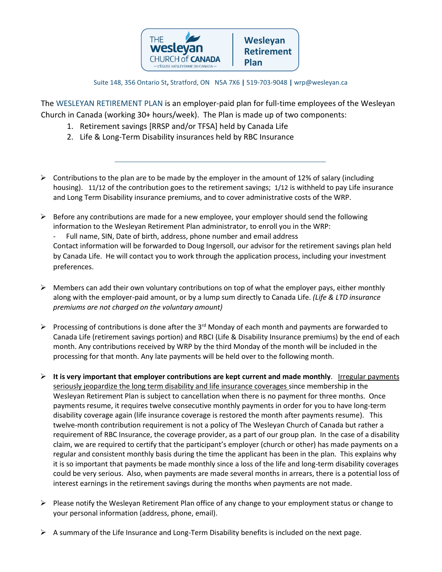

Suite 148, 356 Ontario St**,** Stratford, ON N5A 7X6 **|** 519-703-9048 **|** wrp@wesleyan.ca

The WESLEYAN RETIREMENT PLAN is an employer-paid plan for full-time employees of the Wesleyan Church in Canada (working 30+ hours/week). The Plan is made up of two components:

- 1. Retirement savings [RRSP and/or TFSA] held by Canada Life
- 2. Life & Long-Term Disability insurances held by RBC Insurance
- $\triangleright$  Contributions to the plan are to be made by the employer in the amount of 12% of salary (including housing). 11/12 of the contribution goes to the retirement savings; 1/12 is withheld to pay Life insurance and Long Term Disability insurance premiums, and to cover administrative costs of the WRP.
- $\triangleright$  Before any contributions are made for a new employee, your employer should send the following information to the Wesleyan Retirement Plan administrator, to enroll you in the WRP: Full name, SIN, Date of birth, address, phone number and email address Contact information will be forwarded to Doug Ingersoll, our advisor for the retirement savings plan held by Canada Life. He will contact you to work through the application process, including your investment preferences.
- $\triangleright$  Members can add their own voluntary contributions on top of what the employer pays, either monthly along with the employer-paid amount, or by a lump sum directly to Canada Life. *(Life & LTD insurance premiums are not charged on the voluntary amount)*
- Processing of contributions is done after the 3<sup>rd</sup> Monday of each month and payments are forwarded to Canada Life (retirement savings portion) and RBCI (Life & Disability Insurance premiums) by the end of each month. Any contributions received by WRP by the third Monday of the month will be included in the processing for that month. Any late payments will be held over to the following month.
- **It is very important that employer contributions are kept current and made monthly**. Irregular payments seriously jeopardize the long term disability and life insurance coverages since membership in the Wesleyan Retirement Plan is subject to cancellation when there is no payment for three months. Once payments resume, it requires twelve consecutive monthly payments in order for you to have long-term disability coverage again (life insurance coverage is restored the month after payments resume). This twelve-month contribution requirement is not a policy of The Wesleyan Church of Canada but rather a requirement of RBC Insurance, the coverage provider, as a part of our group plan. In the case of a disability claim, we are required to certify that the participant's employer (church or other) has made payments on a regular and consistent monthly basis during the time the applicant has been in the plan. This explains why it is so important that payments be made monthly since a loss of the life and long-term disability coverages could be very serious. Also, when payments are made several months in arrears, there is a potential loss of interest earnings in the retirement savings during the months when payments are not made.
- $\triangleright$  Please notify the Wesleyan Retirement Plan office of any change to your employment status or change to your personal information (address, phone, email).
- $\triangleright$  A summary of the Life Insurance and Long-Term Disability benefits is included on the next page.